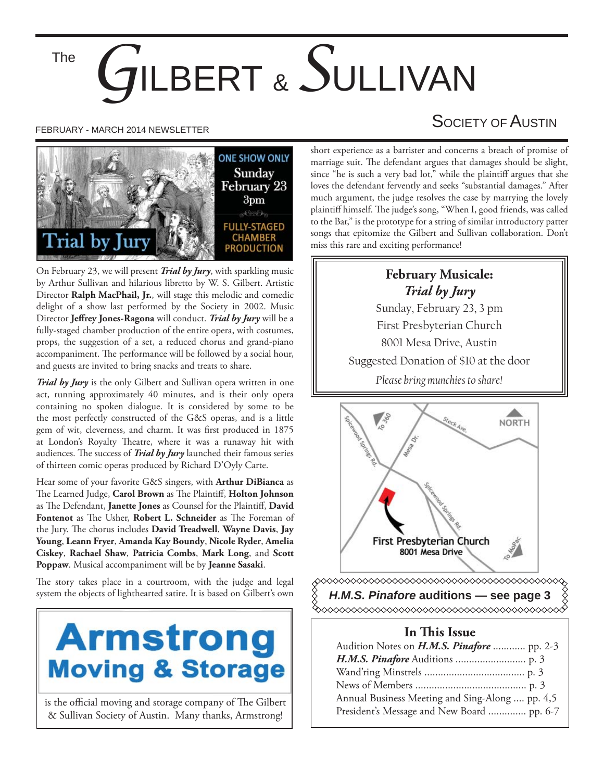The

# *G*ILBERT & *S*ULLIVAN



On February 23, we will present *Trial by Jury*, with sparkling music by Arthur Sullivan and hilarious libretto by W. S. Gilbert. Artistic Director **Ralph MacPhail, Jr.**, will stage this melodic and comedic delight of a show last performed by the Society in 2002. Music Director **Jeffrey Jones-Ragona** will conduct. *Trial by Jury* will be a fully-staged chamber production of the entire opera, with costumes, props, the suggestion of a set, a reduced chorus and grand-piano accompaniment. The performance will be followed by a social hour, and guests are invited to bring snacks and treats to share.

*Trial by Jury* is the only Gilbert and Sullivan opera written in one act, running approximately 40 minutes, and is their only opera containing no spoken dialogue. It is considered by some to be the most perfectly constructed of the G&S operas, and is a little gem of wit, cleverness, and charm. It was first produced in 1875 at London's Royalty Theatre, where it was a runaway hit with audiences. The success of *Trial by Jury* launched their famous series of thirteen comic operas produced by Richard D'Oyly Carte.

Hear some of your favorite G&S singers, with **Arthur DiBianca** as The Learned Judge, Carol Brown as The Plaintiff, Holton Johnson as The Defendant, Janette Jones as Counsel for the Plaintiff, David Fontenot as The Usher, Robert L. Schneider as The Foreman of the Jury. The chorus includes **David Treadwell**, Wayne Davis, Jay **Young**, **Leann Fryer**, **Amanda Kay Boundy**, **Nicole Ryder**, **Amelia Ciskey**, **Rachael Shaw**, **Patricia Combs**, **Mark Long**, and **Scott Poppaw**. Musical accompaniment will be by **Jeanne Sasaki**.

The story takes place in a courtroom, with the judge and legal system the objects of lighthearted satire. It is based on Gilbert's own



is the official moving and storage company of The Gilbert & Sullivan Society of Austin. Many thanks, Armstrong!

# FEBRUARY - MARCH 2014 NEWSLETTER SOCIETY OF AUSTIN

short experience as a barrister and concerns a breach of promise of marriage suit. The defendant argues that damages should be slight, since "he is such a very bad lot," while the plaintiff argues that she loves the defendant fervently and seeks "substantial damages." After much argument, the judge resolves the case by marrying the lovely plaintiff himself. The judge's song, "When I, good friends, was called to the Bar," is the prototype for a string of similar introductory patter songs that epitomize the Gilbert and Sullivan collaboration. Don't miss this rare and exciting performance!

## **February Musicale:** *Trial by Jury*

Sunday, February 23, 3 pm First Presbyterian Church 8001 Mesa Drive, Austin Suggested Donation of \$10 at the door *Please bring munchies to share!*



*H.M.S. Pinafore* **auditions — see page 3**

#### **In This Issue**

| Audition Notes on <i>H.M.S. Pinafore</i> pp. 2-3 |  |
|--------------------------------------------------|--|
|                                                  |  |
|                                                  |  |
|                                                  |  |
| Annual Business Meeting and Sing-Along  pp. 4,5  |  |
| President's Message and New Board  pp. 6-7       |  |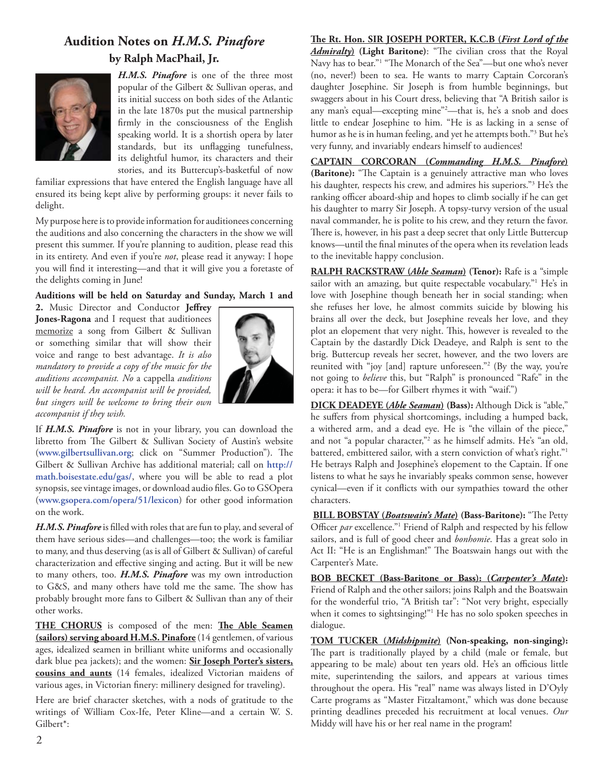### **Audition Notes on** *H.M.S. Pinafore* **by Ralph MacPhail, Jr.**



*H.M.S. Pinafore* is one of the three most popular of the Gilbert & Sullivan operas, and its initial success on both sides of the Atlantic in the late 1870s put the musical partnership firmly in the consciousness of the English speaking world. It is a shortish opera by later standards, but its unflagging tunefulness, its delightful humor, its characters and their stories, and its Buttercup's-basketful of now

familiar expressions that have entered the English language have all ensured its being kept alive by performing groups: it never fails to delight.

My purpose here is to provide information for auditionees concerning the auditions and also concerning the characters in the show we will present this summer. If you're planning to audition, please read this in its entirety. And even if you're *not*, please read it anyway: I hope you will find it interesting—and that it will give you a foretaste of the delights coming in June!

#### **Auditions will be held on Saturday and Sunday, March 1 and**

2. Music Director and Conductor Jeffrey **Jones-Ragona** and I request that auditionees memorize a song from Gilbert & Sullivan or something similar that will show their voice and range to best advantage. *It is also mandatory to provide a copy of the music for the auditions accompanist. No* a cappella *auditions will be heard. An accompanist will be provided, but singers will be welcome to bring their own accompanist if they wish.*



If *H.M.S. Pinafore* is not in your library, you can download the libretto from The Gilbert & Sullivan Society of Austin's website (www.gilbertsullivan.org; click on "Summer Production"). The Gilbert & Sullivan Archive has additional material; call on **http:// math.boisestate.edu/gas/**, where you will be able to read a plot synopsis, see vintage images, or download audio files. Go to GSOpera (**www.gsopera.com/opera/51/lexicon**) for other good information on the work.

H.M.S. Pinafore is filled with roles that are fun to play, and several of them have serious sides—and challenges—too; the work is familiar to many, and thus deserving (as is all of Gilbert & Sullivan) of careful characterization and effective singing and acting. But it will be new to many others, too. *H.M.S. Pinafore* was my own introduction to G&S, and many others have told me the same. The show has probably brought more fans to Gilbert & Sullivan than any of their other works.

THE CHORUS is composed of the men: The Able Seamen **(sailors) serving aboard H.M.S. Pinafore** (14 gentlemen, of various ages, idealized seamen in brilliant white uniforms and occasionally dark blue pea jackets); and the women: **Sir Joseph Porter's sisters, cousins and aunts** (14 females, idealized Victorian maidens of various ages, in Victorian finery: millinery designed for traveling).

Here are brief character sketches, with a nods of gratitude to the writings of William Cox-Ife, Peter Kline—and a certain W. S. Gilbert\*:

#### The Rt. Hon. SIR JOSEPH PORTER, K.C.B (*First Lord of the*

Admiralty) (Light Baritone): "The civilian cross that the Royal Navy has to bear."<sup>1</sup> "The Monarch of the Sea"—but one who's never (no, never!) been to sea. He wants to marry Captain Corcoran's daughter Josephine. Sir Joseph is from humble beginnings, but swaggers about in his Court dress, believing that "A British sailor is any man's equal—excepting mine"2 —that is, he's a snob and does little to endear Josephine to him. "He is as lacking in a sense of humor as he is in human feeling, and yet he attempts both."3 But he's very funny, and invariably endears himself to audiences!

**CAPTAIN CORCORAN (***Commanding H.M.S. Pinafore***)**  (Baritone): "The Captain is a genuinely attractive man who loves his daughter, respects his crew, and admires his superiors."3 He's the ranking officer aboard-ship and hopes to climb socially if he can get his daughter to marry Sir Joseph. A topsy-turvy version of the usual naval commander, he is polite to his crew, and they return the favor. There is, however, in his past a deep secret that only Little Buttercup knows—until the final minutes of the opera when its revelation leads to the inevitable happy conclusion.

**RALPH RACKSTRAW (***Able Seaman***) (Tenor):** Rafe is a "simple sailor with an amazing, but quite respectable vocabulary."<sup>1</sup> He's in love with Josephine though beneath her in social standing; when she refuses her love, he almost commits suicide by blowing his brains all over the deck, but Josephine reveals her love, and they plot an elopement that very night. This, however is revealed to the Captain by the dastardly Dick Deadeye, and Ralph is sent to the brig. Buttercup reveals her secret, however, and the two lovers are reunited with "joy [and] rapture unforeseen."2 (By the way, you're not going to *believe* this, but "Ralph" is pronounced "Rafe" in the opera: it has to be—for Gilbert rhymes it with "waif.")

**DICK DEADEYE (***Able Seaman***) (Bass):** Although Dick is "able," he suffers from physical shortcomings, including a humped back, a withered arm, and a dead eye. He is "the villain of the piece," and not "a popular character,"2 as he himself admits. He's "an old, battered, embittered sailor, with a stern conviction of what's right."<sup>1</sup> He betrays Ralph and Josephine's elopement to the Captain. If one listens to what he says he invariably speaks common sense, however cynical—even if it conflicts with our sympathies toward the other characters.

**BILL BOBSTAY (***Boatswain's Mate*) (Bass-Baritone): "The Petty Officer *par* excellence."<sup>1</sup> Friend of Ralph and respected by his fellow sailors, and is full of good cheer and *bonhomie*. Has a great solo in Act II: "He is an Englishman!" The Boatswain hangs out with the Carpenter's Mate.

**BOB BECKET (Bass-Baritone or Bass): (***Carpenter's Mate***):**  Friend of Ralph and the other sailors; joins Ralph and the Boatswain for the wonderful trio, "A British tar": "Not very bright, especially when it comes to sightsinging!"1 He has no solo spoken speeches in dialogue.

**TOM TUCKER (***Midshipmite***) (Non-speaking, non-singing):**  The part is traditionally played by a child (male or female, but appearing to be male) about ten years old. He's an officious little mite, superintending the sailors, and appears at various times throughout the opera. His "real" name was always listed in D'Oyly Carte programs as "Master Fitzaltamont," which was done because printing deadlines preceded his recruitment at local venues. *Our*  Middy will have his or her real name in the program!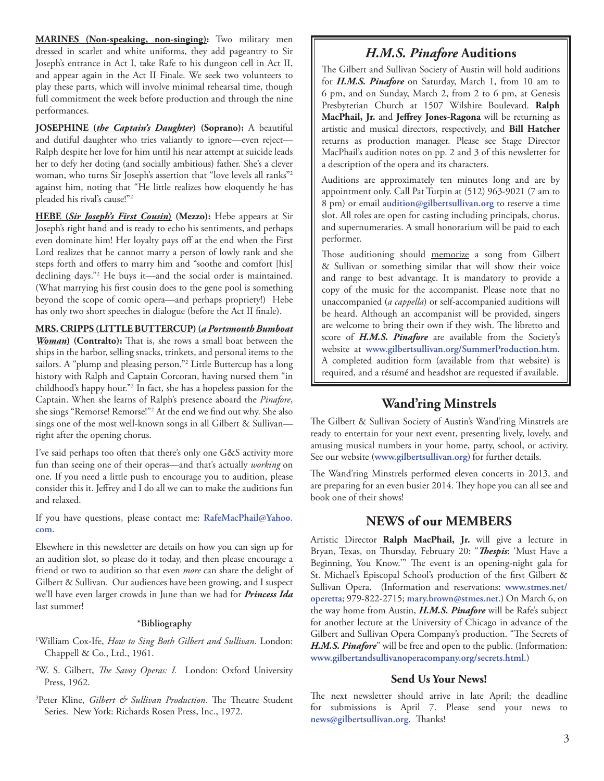**MARINES (Non-speaking, non-singing):** Two military men dressed in scarlet and white uniforms, they add pageantry to Sir Joseph's entrance in Act I, take Rafe to his dungeon cell in Act II, and appear again in the Act II Finale. We seek two volunteers to play these parts, which will involve minimal rehearsal time, though full commitment the week before production and through the nine performances.

**JOSEPHINE (***the Captain's Daughter***) (Soprano):** A beautiful and dutiful daughter who tries valiantly to ignore—even reject— Ralph despite her love for him until his near attempt at suicide leads her to defy her doting (and socially ambitious) father. She's a clever woman, who turns Sir Joseph's assertion that "love levels all ranks"2 against him, noting that "He little realizes how eloquently he has pleaded his rival's cause!"2

**HEBE (***Sir Joseph's First Cousin***) (Mezzo):** Hebe appears at Sir Joseph's right hand and is ready to echo his sentiments, and perhaps even dominate him! Her loyalty pays off at the end when the First Lord realizes that he cannot marry a person of lowly rank and she steps forth and offers to marry him and "soothe and comfort [his] declining days."2 He buys it—and the social order is maintained. (What marrying his first cousin does to the gene pool is something beyond the scope of comic opera—and perhaps propriety!)Hebe has only two short speeches in dialogue (before the Act II finale).

#### **MRS. CRIPPS (LITTLE BUTTERCUP) (***a Portsmouth Bumboat*

*Woman*) (Contralto): That is, she rows a small boat between the ships in the harbor, selling snacks, trinkets, and personal items to the sailors. A "plump and pleasing person,"2 Little Buttercup has a long history with Ralph and Captain Corcoran, having nursed them "in childhood's happy hour."2 In fact, she has a hopeless passion for the Captain. When she learns of Ralph's presence aboard the *Pinafore*, she sings "Remorse! Remorse!"<sup>2</sup> At the end we find out why. She also sings one of the most well-known songs in all Gilbert & Sullivanright after the opening chorus.

I've said perhaps too often that there's only one G&S activity more fun than seeing one of their operas—and that's actually *working* on one. If you need a little push to encourage you to audition, please consider this it. Jeffrey and I do all we can to make the auditions fun and relaxed.

If you have questions, please contact me: **RafeMacPhail@Yahoo. com**.

Elsewhere in this newsletter are details on how you can sign up for an audition slot, so please do it today, and then please encourage a friend or two to audition so that even *more* can share the delight of Gilbert & Sullivan. Our audiences have been growing, and I suspect we'll have even larger crowds in June than we had for *Princess Ida* last summer!

#### **\*Bibliography**

- 1 William Cox-Ife, *How to Sing Both Gilbert and Sullivan.* London: Chappell & Co., Ltd., 1961.
- <sup>2</sup>W. S. Gilbert, *The Savoy Operas: I.* London: Oxford University Press, 1962.
- <sup>3</sup>Peter Kline, *Gilbert & Sullivan Production*. The Theatre Student Series. New York: Richards Rosen Press, Inc., 1972.

#### *H.M.S. Pinafore* **Auditions**

The Gilbert and Sullivan Society of Austin will hold auditions for *H.M.S. Pinafore* on Saturday, March 1, from 10 am to 6 pm, and on Sunday, March 2, from 2 to 6 pm, at Genesis Presbyterian Church at 1507 Wilshire Boulevard. **Ralph**  MacPhail, Jr. and Jeffrey Jones-Ragona will be returning as artistic and musical directors, respectively, and **Bill Hatcher** returns as production manager. Please see Stage Director MacPhail's audition notes on pp. 2 and 3 of this newsletter for a description of the opera and its characters.

Auditions are approximately ten minutes long and are by appointment only. Call Pat Turpin at (512) 963-9021 (7 am to 8 pm) or email **audition@gilbertsullivan.org** to reserve a time slot. All roles are open for casting including principals, chorus, and supernumeraries. A small honorarium will be paid to each performer.

Those auditioning should memorize a song from Gilbert & Sullivan or something similar that will show their voice and range to best advantage. It is mandatory to provide a copy of the music for the accompanist. Please note that no unaccompanied (*a cappella*) or self-accompanied auditions will be heard. Although an accompanist will be provided, singers are welcome to bring their own if they wish. The libretto and score of *H.M.S. Pinafore* are available from the Society's website at **www.gilbertsullivan.org/SummerProduction.htm**. A completed audition form (available from that website) is required, and a résumé and headshot are requested if available.

#### **Wand'ring Minstrels**

The Gilbert & Sullivan Society of Austin's Wand'ring Minstrels are ready to entertain for your next event, presenting lively, lovely, and amusing musical numbers in your home, party, school, or activity. See our website (**www.gilbertsullivan.org**) for further details.

The Wand'ring Minstrels performed eleven concerts in 2013, and are preparing for an even busier 2014. They hope you can all see and book one of their shows!

#### **NEWS of our MEMBERS**

Artistic Director **Ralph MacPhail, Jr.** will give a lecture in Bryan, Texas, on Thursday, February 20: "*Thespis*: 'Must Have a Beginning, You Know."" The event is an opening-night gala for St. Michael's Episcopal School's production of the first Gilbert & Sullivan Opera. (Information and reservations: **www.stmes.net/ operetta**; 979-822-2715; **mary.brown@stmes.net**.) On March 6, on the way home from Austin, *H.M.S. Pinafore* will be Rafe's subject for another lecture at the University of Chicago in advance of the Gilbert and Sullivan Opera Company's production. "The Secrets of *H.M.S. Pinafore*" will be free and open to the public. (Information: **www.gilbertandsullivanoperacompany.org/secrets.html**.)

#### **Send Us Your News!**

The next newsletter should arrive in late April; the deadline for submissions is April 7. Please send your news to news@gilbertsullivan.org. Thanks!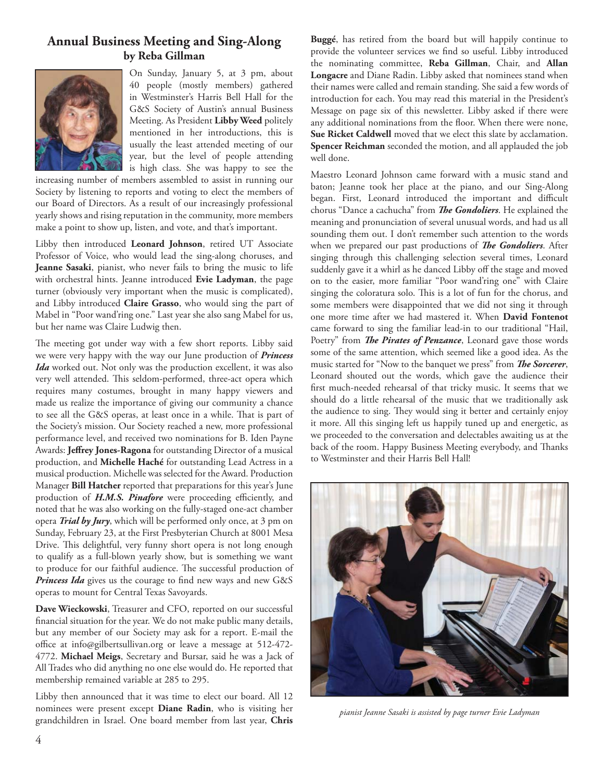#### **Annual Business Meeting and Sing-Along by Reba Gillman**



On Sunday, January 5, at 3 pm, about 40 people (mostly members) gathered in Westminster's Harris Bell Hall for the G&S Society of Austin's annual Business Meeting. As President **Libby Weed** politely mentioned in her introductions, this is usually the least attended meeting of our year, but the level of people attending is high class. She was happy to see the

increasing number of members assembled to assist in running our Society by listening to reports and voting to elect the members of our Board of Directors. As a result of our increasingly professional yearly shows and rising reputation in the community, more members make a point to show up, listen, and vote, and that's important.

Libby then introduced **Leonard Johnson**, retired UT Associate Professor of Voice, who would lead the sing-along choruses, and **Jeanne Sasaki**, pianist, who never fails to bring the music to life with orchestral hints. Jeanne introduced **Evie Ladyman**, the page turner (obviously very important when the music is complicated), and Libby introduced **Claire Grasso**, who would sing the part of Mabel in "Poor wand'ring one." Last year she also sang Mabel for us, but her name was Claire Ludwig then.

The meeting got under way with a few short reports. Libby said we were very happy with the way our June production of *Princess Ida* worked out. Not only was the production excellent, it was also very well attended. This seldom-performed, three-act opera which requires many costumes, brought in many happy viewers and made us realize the importance of giving our community a chance to see all the G&S operas, at least once in a while. That is part of the Society's mission. Our Society reached a new, more professional performance level, and received two nominations for B. Iden Payne Awards: Jeffrey Jones-Ragona for outstanding Director of a musical production, and **Michelle Haché** for outstanding Lead Actress in a musical production. Michelle was selected for the Award. Production Manager **Bill Hatcher** reported that preparations for this year's June production of *H.M.S. Pinafore* were proceeding efficiently, and noted that he was also working on the fully-staged one-act chamber opera *Trial by Jury*, which will be performed only once, at 3 pm on Sunday, February 23, at the First Presbyterian Church at 8001 Mesa Drive. This delightful, very funny short opera is not long enough to qualify as a full-blown yearly show, but is something we want to produce for our faithful audience. The successful production of Princess Ida gives us the courage to find new ways and new G&S operas to mount for Central Texas Savoyards.

**Dave Wieckowski**, Treasurer and CFO, reported on our successful financial situation for the year. We do not make public many details, but any member of our Society may ask for a report. E-mail the office at info@gilbertsullivan.org or leave a message at 512-472-4772. **Michael Meigs**, Secretary and Bursar, said he was a Jack of All Trades who did anything no one else would do. He reported that membership remained variable at 285 to 295.

Libby then announced that it was time to elect our board. All 12 nominees were present except **Diane Radin**, who is visiting her grandchildren in Israel. One board member from last year, **Chris**  **Buggé**, has retired from the board but will happily continue to provide the volunteer services we find so useful. Libby introduced the nominating committee, **Reba Gillman**, Chair, and **Allan Longacre** and Diane Radin. Libby asked that nominees stand when their names were called and remain standing. She said a few words of introduction for each. You may read this material in the President's Message on page six of this newsletter. Libby asked if there were any additional nominations from the floor. When there were none, **Sue Ricket Caldwell** moved that we elect this slate by acclamation. **Spencer Reichman** seconded the motion, and all applauded the job well done.

Maestro Leonard Johnson came forward with a music stand and baton; Jeanne took her place at the piano, and our Sing-Along began. First, Leonard introduced the important and difficult chorus "Dance a cachucha" from *The Gondoliers*. He explained the meaning and pronunciation of several unusual words, and had us all sounding them out. I don't remember such attention to the words when we prepared our past productions of *The Gondoliers*. After singing through this challenging selection several times, Leonard suddenly gave it a whirl as he danced Libby off the stage and moved on to the easier, more familiar "Poor wand'ring one" with Claire singing the coloratura solo. This is a lot of fun for the chorus, and some members were disappointed that we did not sing it through one more time after we had mastered it. When **David Fontenot** came forward to sing the familiar lead-in to our traditional "Hail, Poetry" from *The Pirates of Penzance*, Leonard gave those words some of the same attention, which seemed like a good idea. As the music started for "Now to the banquet we press" from *The Sorcerer*, Leonard shouted out the words, which gave the audience their first much-needed rehearsal of that tricky music. It seems that we should do a little rehearsal of the music that we traditionally ask the audience to sing. They would sing it better and certainly enjoy it more. All this singing left us happily tuned up and energetic, as we proceeded to the conversation and delectables awaiting us at the back of the room. Happy Business Meeting everybody, and Thanks to Westminster and their Harris Bell Hall!



*pianist Jeanne Sasaki is assisted by page turner Evie Ladyman*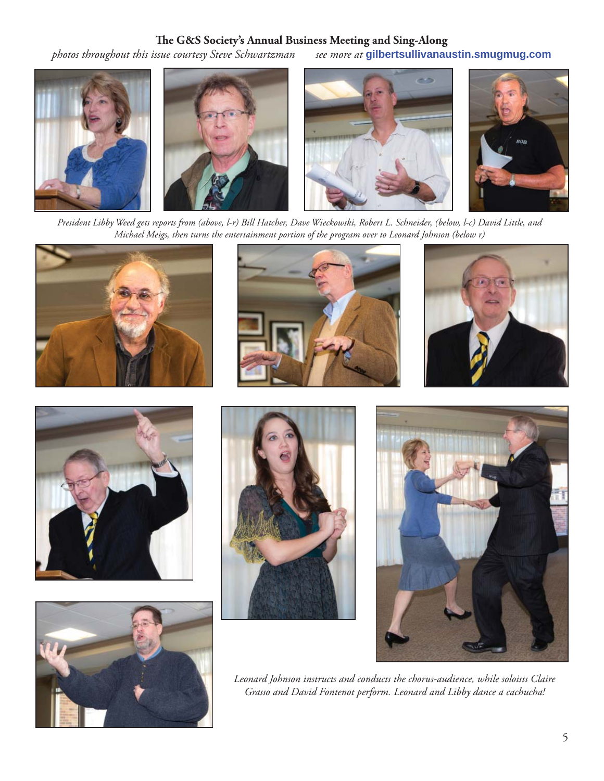#### The G&S Society's Annual Business Meeting and Sing-Along

*photos throughout this issue courtesy Steve Schwartzman see more at* **gilbertsullivanaustin.smugmug.com**



*President Libby Weed gets reports from (above, l-r) Bill Hatcher, Dave Wieckowski, Robert L. Schneider, (below, l-c) David Little, and Michael Meigs, then turns the entertainment portion of the program over to Leonard Johnson (below r)*















*Leonard Johnson instructs and conducts the chorus-audience, while soloists Claire Grasso and David Fontenot perform. Leonard and Libby dance a cachucha!*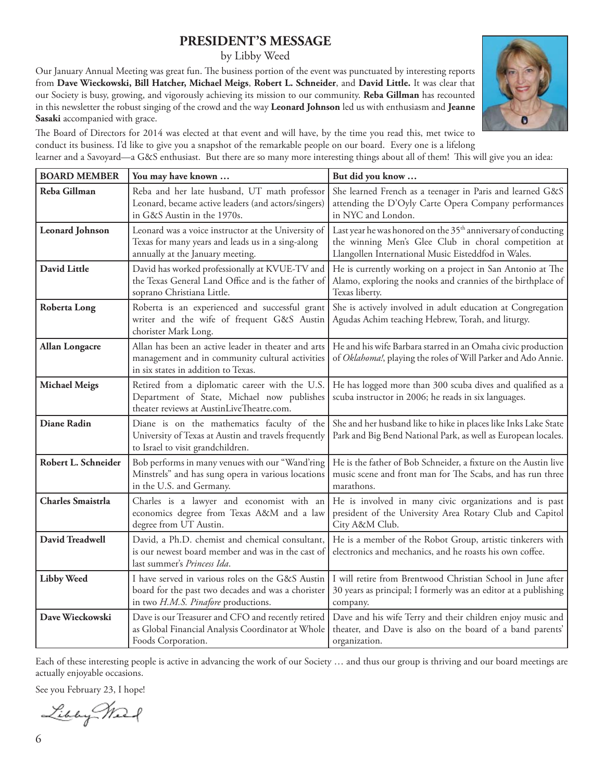#### **PRESIDENT'S MESSAGE**

by Libby Weed

Our January Annual Meeting was great fun. The business portion of the event was punctuated by interesting reports from **Dave Wieckowski, Bill Hatcher, Michael Meigs**, **Robert L. Schneider**, and **David Little.** It was clear that our Society is busy, growing, and vigorously achieving its mission to our community. **Reba Gillman** has recounted in this newsletter the robust singing of the crowd and the way **Leonard Johnson** led us with enthusiasm and **Jeanne Sasaki** accompanied with grace.



The Board of Directors for 2014 was elected at that event and will have, by the time you read this, met twice to conduct its business. I'd like to give you a snapshot of the remarkable people on our board. Every one is a lifelong learner and a Savoyard—a G&S enthusiast. But there are so many more interesting things about all of them! This will give you an idea:

| <b>BOARD MEMBER</b>      | You may have known                                                                                                                            | But did you know                                                                                                                                                                          |
|--------------------------|-----------------------------------------------------------------------------------------------------------------------------------------------|-------------------------------------------------------------------------------------------------------------------------------------------------------------------------------------------|
| Reba Gillman             | Reba and her late husband, UT math professor<br>Leonard, became active leaders (and actors/singers)<br>in G&S Austin in the 1970s.            | She learned French as a teenager in Paris and learned G&S<br>attending the D'Oyly Carte Opera Company performances<br>in NYC and London.                                                  |
| <b>Leonard Johnson</b>   | Leonard was a voice instructor at the University of<br>Texas for many years and leads us in a sing-along<br>annually at the January meeting.  | Last year he was honored on the 35 <sup>th</sup> anniversary of conducting<br>the winning Men's Glee Club in choral competition at<br>Llangollen International Music Eisteddfod in Wales. |
| <b>David Little</b>      | David has worked professionally at KVUE-TV and<br>the Texas General Land Office and is the father of<br>soprano Christiana Little.            | He is currently working on a project in San Antonio at The<br>Alamo, exploring the nooks and crannies of the birthplace of<br>Texas liberty.                                              |
| <b>Roberta Long</b>      | Roberta is an experienced and successful grant<br>writer and the wife of frequent G&S Austin<br>chorister Mark Long.                          | She is actively involved in adult education at Congregation<br>Agudas Achim teaching Hebrew, Torah, and liturgy.                                                                          |
| <b>Allan Longacre</b>    | Allan has been an active leader in theater and arts<br>management and in community cultural activities<br>in six states in addition to Texas. | He and his wife Barbara starred in an Omaha civic production<br>of Oklahoma!, playing the roles of Will Parker and Ado Annie.                                                             |
| <b>Michael Meigs</b>     | Retired from a diplomatic career with the U.S.<br>Department of State, Michael now publishes<br>theater reviews at AustinLiveTheatre.com.     | He has logged more than 300 scuba dives and qualified as a<br>scuba instructor in 2006; he reads in six languages.                                                                        |
| <b>Diane Radin</b>       | Diane is on the mathematics faculty of the<br>University of Texas at Austin and travels frequently<br>to Israel to visit grandchildren.       | She and her husband like to hike in places like Inks Lake State<br>Park and Big Bend National Park, as well as European locales.                                                          |
| Robert L. Schneider      | Bob performs in many venues with our "Wand'ring<br>Minstrels" and has sung opera in various locations<br>in the U.S. and Germany.             | He is the father of Bob Schneider, a fixture on the Austin live<br>music scene and front man for The Scabs, and has run three<br>marathons.                                               |
| <b>Charles Smaistrla</b> | Charles is a lawyer and economist with an<br>economics degree from Texas A&M and a law<br>degree from UT Austin.                              | He is involved in many civic organizations and is past<br>president of the University Area Rotary Club and Capitol<br>City A&M Club.                                                      |
| <b>David Treadwell</b>   | David, a Ph.D. chemist and chemical consultant,<br>is our newest board member and was in the cast of<br>last summer's Princess Ida.           | He is a member of the Robot Group, artistic tinkerers with<br>electronics and mechanics, and he roasts his own coffee.                                                                    |
| <b>Libby Weed</b>        | I have served in various roles on the G&S Austin<br>board for the past two decades and was a chorister<br>in two H.M.S. Pinafore productions. | I will retire from Brentwood Christian School in June after<br>30 years as principal; I formerly was an editor at a publishing<br>company.                                                |
| Dave Wieckowski          | Dave is our Treasurer and CFO and recently retired<br>as Global Financial Analysis Coordinator at Whole<br>Foods Corporation.                 | Dave and his wife Terry and their children enjoy music and<br>theater, and Dave is also on the board of a band parents'<br>organization.                                                  |

Each of these interesting people is active in advancing the work of our Society … and thus our group is thriving and our board meetings are actually enjoyable occasions.

See you February 23, I hope!

Libby Mart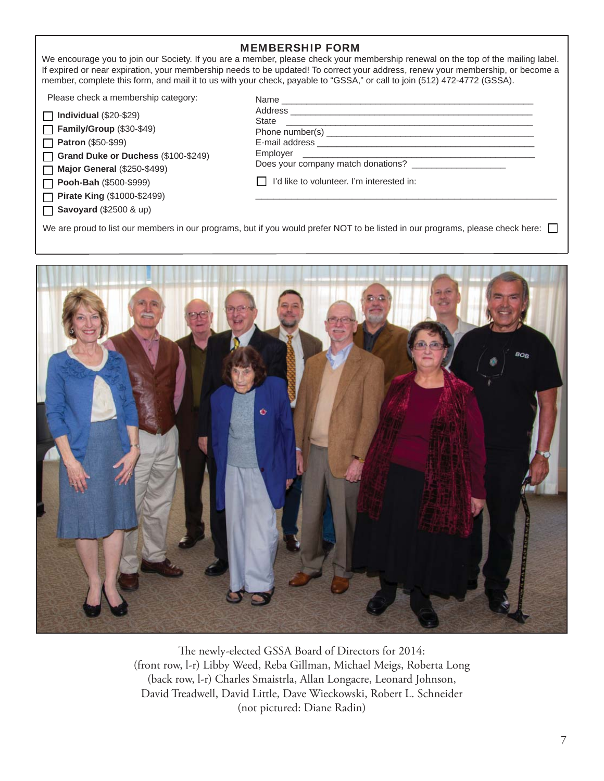#### MEMBERSHIP FORM

We encourage you to join our Society. If you are a member, please check your membership renewal on the top of the mailing label. If expired or near expiration, your membership needs to be updated! To correct your address, renew your membership, or become a member, complete this form, and mail it to us with your check, payable to "GSSA," or call to join (512) 472-4772 (GSSA).

Please check a membership category:

| $\Box$ Individual (\$20-\$29) |  |
|-------------------------------|--|
|-------------------------------|--|

**Family/Group** (\$30-\$49)

 $\Box$ **Patron** (\$50-\$99)

**Grand Duke or Duchess** (\$100-\$249)  $\Box$ 

**Major General** (\$250-\$499)  $\Box$ 

**Pooh-Bah** (\$500-\$999) П

**Pirate King** (\$1000-\$2499)  $\Box$ 

**Savoyard** (\$2500 & up)  $\Box$ 

| Name                                                                                                                                 |  |
|--------------------------------------------------------------------------------------------------------------------------------------|--|
|                                                                                                                                      |  |
| <b>State</b><br><u> 1980 - Johann John Stein, markin film og fotballsk kommunent og fotballsk kommunent og fotballsk kommunen og</u> |  |
|                                                                                                                                      |  |
|                                                                                                                                      |  |
|                                                                                                                                      |  |
| Does your company match donations?                                                                                                   |  |
| I'd like to volunteer. I'm interested in:                                                                                            |  |
|                                                                                                                                      |  |

We are proud to list our members in our programs, but if you would prefer NOT to be listed in our programs, please check here:



The newly-elected GSSA Board of Directors for 2014: (front row, l-r) Libby Weed, Reba Gillman, Michael Meigs, Roberta Long (back row, l-r) Charles Smaistrla, Allan Longacre, Leonard Johnson, David Treadwell, David Little, Dave Wieckowski, Robert L. Schneider (not pictured: Diane Radin)